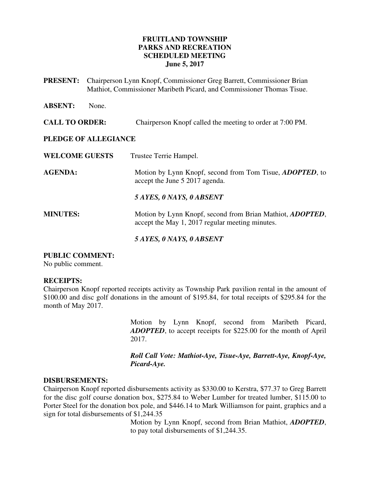### **FRUITLAND TOWNSHIP PARKS AND RECREATION SCHEDULED MEETING June 5, 2017**

**PRESENT:** Chairperson Lynn Knopf, Commissioner Greg Barrett, Commissioner Brian Mathiot, Commissioner Maribeth Picard, and Commissioner Thomas Tisue.

**ABSENT:** None.

#### **CALL TO ORDER:** Chairperson Knopf called the meeting to order at 7:00 PM.

#### **PLEDGE OF ALLEGIANCE**

| <b>WELCOME GUESTS</b> | Trustee Terrie Hampel.                                                                                               |
|-----------------------|----------------------------------------------------------------------------------------------------------------------|
| <b>AGENDA:</b>        | Motion by Lynn Knopf, second from Tom Tisue, <i>ADOPTED</i> , to<br>accept the June 5 2017 agenda.                   |
|                       | 5 AYES, 0 NAYS, 0 ABSENT                                                                                             |
| <b>MINUTES:</b>       | Motion by Lynn Knopf, second from Brian Mathiot, <i>ADOPTED</i> ,<br>accept the May 1, 2017 regular meeting minutes. |

*5 AYES, 0 NAYS, 0 ABSENT* 

### **PUBLIC COMMENT:**

No public comment.

#### **RECEIPTS:**

Chairperson Knopf reported receipts activity as Township Park pavilion rental in the amount of \$100.00 and disc golf donations in the amount of \$195.84, for total receipts of \$295.84 for the month of May 2017.

> Motion by Lynn Knopf, second from Maribeth Picard, *ADOPTED*, to accept receipts for \$225.00 for the month of April 2017.

> *Roll Call Vote: Mathiot-Aye, Tisue-Aye, Barrett-Aye, Knopf-Aye, Picard-Aye.*

#### **DISBURSEMENTS:**

Chairperson Knopf reported disbursements activity as \$330.00 to Kerstra, \$77.37 to Greg Barrett for the disc golf course donation box, \$275.84 to Weber Lumber for treated lumber, \$115.00 to Porter Steel for the donation box pole, and \$446.14 to Mark Williamson for paint, graphics and a sign for total disbursements of \$1,244.35

> Motion by Lynn Knopf, second from Brian Mathiot, *ADOPTED*, to pay total disbursements of \$1,244.35.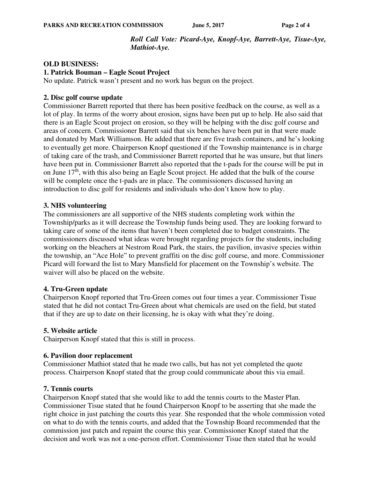### *Roll Call Vote: Picard-Aye, Knopf-Aye, Barrett-Aye, Tisue-Aye, Mathiot-Aye.*

#### **OLD BUSINESS:**

#### **1. Patrick Bouman – Eagle Scout Project**

No update. Patrick wasn't present and no work has begun on the project.

#### **2. Disc golf course update**

Commissioner Barrett reported that there has been positive feedback on the course, as well as a lot of play. In terms of the worry about erosion, signs have been put up to help. He also said that there is an Eagle Scout project on erosion, so they will be helping with the disc golf course and areas of concern. Commissioner Barrett said that six benches have been put in that were made and donated by Mark Williamson. He added that there are five trash containers, and he's looking to eventually get more. Chairperson Knopf questioned if the Township maintenance is in charge of taking care of the trash, and Commissioner Barrett reported that he was unsure, but that liners have been put in. Commissioner Barrett also reported that the t-pads for the course will be put in on June  $17<sup>th</sup>$ , with this also being an Eagle Scout project. He added that the bulk of the course will be complete once the t-pads are in place. The commissioners discussed having an introduction to disc golf for residents and individuals who don't know how to play.

#### **3. NHS volunteering**

The commissioners are all supportive of the NHS students completing work within the Township/parks as it will decrease the Township funds being used. They are looking forward to taking care of some of the items that haven't been completed due to budget constraints. The commissioners discussed what ideas were brought regarding projects for the students, including working on the bleachers at Nestrom Road Park, the stairs, the pavilion, invasive species within the township, an "Ace Hole" to prevent graffiti on the disc golf course, and more. Commissioner Picard will forward the list to Mary Mansfield for placement on the Township's website. The waiver will also be placed on the website.

#### **4. Tru-Green update**

Chairperson Knopf reported that Tru-Green comes out four times a year. Commissioner Tisue stated that he did not contact Tru-Green about what chemicals are used on the field, but stated that if they are up to date on their licensing, he is okay with what they're doing.

#### **5. Website article**

Chairperson Knopf stated that this is still in process.

#### **6. Pavilion door replacement**

Commissioner Mathiot stated that he made two calls, but has not yet completed the quote process. Chairperson Knopf stated that the group could communicate about this via email.

#### **7. Tennis courts**

Chairperson Knopf stated that she would like to add the tennis courts to the Master Plan. Commissioner Tisue stated that he found Chairperson Knopf to be asserting that she made the right choice in just patching the courts this year. She responded that the whole commission voted on what to do with the tennis courts, and added that the Township Board recommended that the commission just patch and repaint the course this year. Commissioner Knopf stated that the decision and work was not a one-person effort. Commissioner Tisue then stated that he would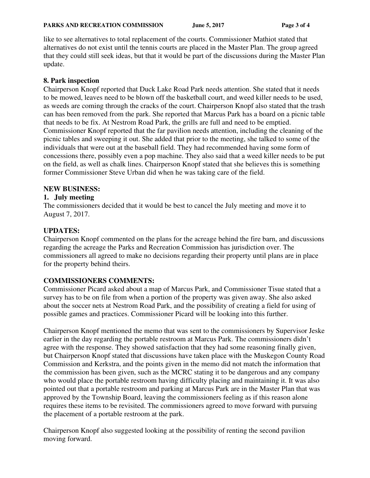like to see alternatives to total replacement of the courts. Commissioner Mathiot stated that alternatives do not exist until the tennis courts are placed in the Master Plan. The group agreed that they could still seek ideas, but that it would be part of the discussions during the Master Plan update.

## **8. Park inspection**

Chairperson Knopf reported that Duck Lake Road Park needs attention. She stated that it needs to be mowed, leaves need to be blown off the basketball court, and weed killer needs to be used, as weeds are coming through the cracks of the court. Chairperson Knopf also stated that the trash can has been removed from the park. She reported that Marcus Park has a board on a picnic table that needs to be fix. At Nestrom Road Park, the grills are full and need to be emptied. Commissioner Knopf reported that the far pavilion needs attention, including the cleaning of the picnic tables and sweeping it out. She added that prior to the meeting, she talked to some of the individuals that were out at the baseball field. They had recommended having some form of concessions there, possibly even a pop machine. They also said that a weed killer needs to be put on the field, as well as chalk lines. Chairperson Knopf stated that she believes this is something former Commissioner Steve Urban did when he was taking care of the field.

## **NEW BUSINESS:**

## **1. July meeting**

The commissioners decided that it would be best to cancel the July meeting and move it to August 7, 2017.

## **UPDATES:**

Chairperson Knopf commented on the plans for the acreage behind the fire barn, and discussions regarding the acreage the Parks and Recreation Commission has jurisdiction over. The commissioners all agreed to make no decisions regarding their property until plans are in place for the property behind theirs.

# **COMMISSIONERS COMMENTS:**

Commissioner Picard asked about a map of Marcus Park, and Commissioner Tisue stated that a survey has to be on file from when a portion of the property was given away. She also asked about the soccer nets at Nestrom Road Park, and the possibility of creating a field for using of possible games and practices. Commissioner Picard will be looking into this further.

Chairperson Knopf mentioned the memo that was sent to the commissioners by Supervisor Jeske earlier in the day regarding the portable restroom at Marcus Park. The commissioners didn't agree with the response. They showed satisfaction that they had some reasoning finally given, but Chairperson Knopf stated that discussions have taken place with the Muskegon County Road Commission and Kerkstra, and the points given in the memo did not match the information that the commission has been given, such as the MCRC stating it to be dangerous and any company who would place the portable restroom having difficulty placing and maintaining it. It was also pointed out that a portable restroom and parking at Marcus Park are in the Master Plan that was approved by the Township Board, leaving the commissioners feeling as if this reason alone requires these items to be revisited. The commissioners agreed to move forward with pursuing the placement of a portable restroom at the park.

Chairperson Knopf also suggested looking at the possibility of renting the second pavilion moving forward.